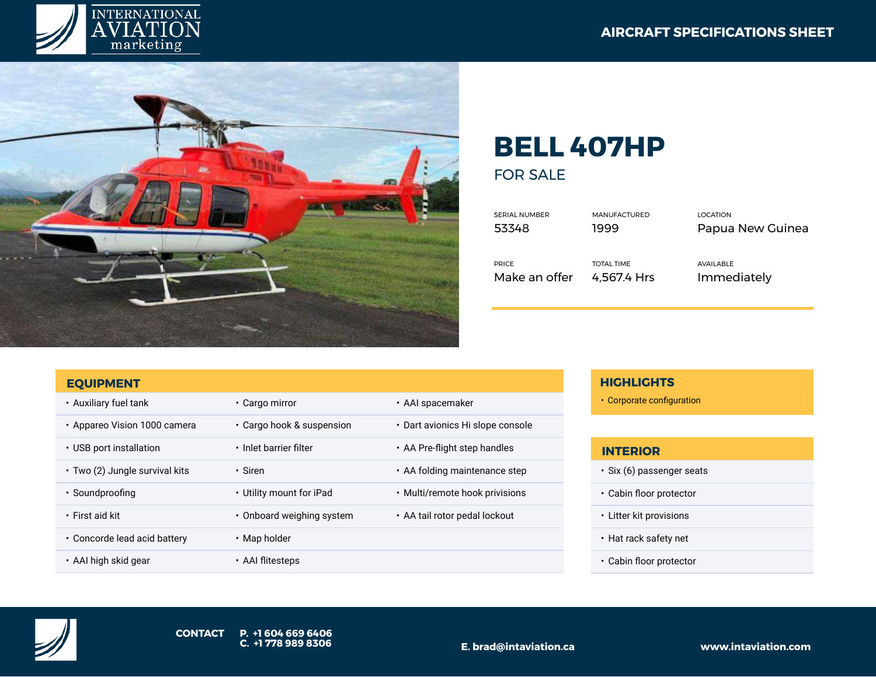



## **BELL 407HP** FOR SALE

| <b>SERIAL NUMBER</b> | <b>MANUFACTURED</b> | LOCATION         |
|----------------------|---------------------|------------------|
| 53348                | 1999                | Papua New Guinea |
| <b>PRICE</b>         | <b>TOTAL TIME</b>   | AVAILABLE        |
| Make an offer        | 4.567.4 Hrs         | Immediately      |

| <b>EQUIPMENT</b>               |                           |                                     |
|--------------------------------|---------------------------|-------------------------------------|
| • Auxiliary fuel tank          | • Cargo mirror            | • AAI spacemaker                    |
| • Appareo Vision 1000 camera   | • Cargo hook & suspension | • Dart avionics Hi slope console    |
| • USB port installation        | • Inlet barrier filter    | • AA Pre-flight step handles        |
| • Two (2) Jungle survival kits | • Siren                   | $\cdot$ AA folding maintenance step |
| • Soundproofing                | • Utility mount for iPad  | • Multi/remote hook privisions      |
| $\cdot$ First aid kit          | • Onboard weighing system | • AA tail rotor pedal lockout       |
| • Concorde lead acid battery   | • Map holder              |                                     |
| • AAI high skid gear           | • AAI flitesteps          |                                     |

## **HIGHLIGHTS**

• Corporate configuration

## **INTERIOR**

- Six (6) passenger seats
- Cabin floor protector
- Litter kit provisions
- Hat rack safety net
- Cabin floor protector

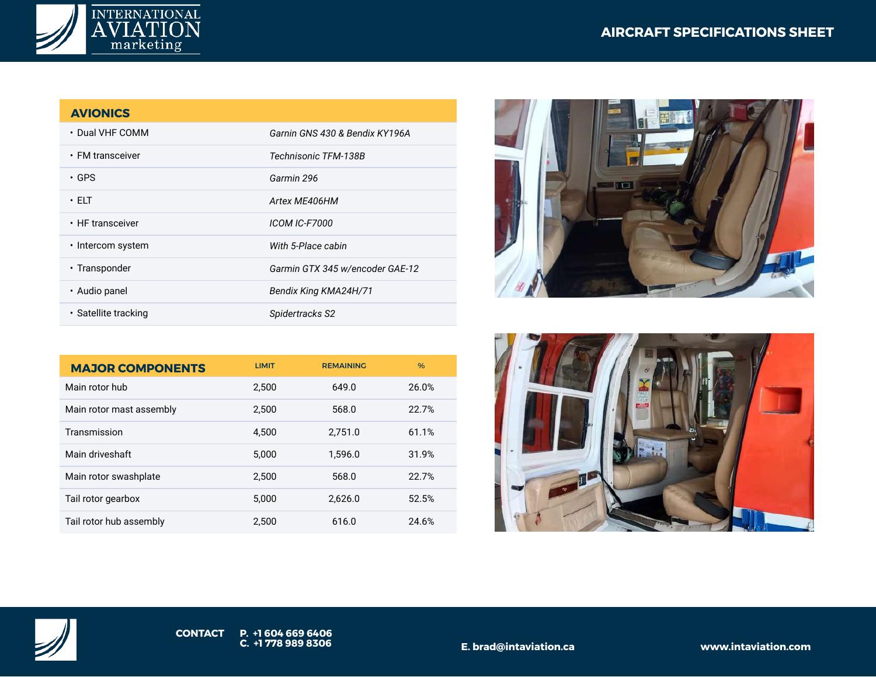



## **AVIONICS**

| • Dual VHF COMM      | Garnin GNS 430 & Bendix KY196A  |
|----------------------|---------------------------------|
| • FM transceiver     | Technisonic TFM-138B            |
| • GPS                | Garmin 296                      |
| • ELT                | Artex ME406HM                   |
| • HF transceiver     | <b>ICOM IC-F7000</b>            |
| • Intercom system    | With 5-Place cabin              |
| • Transponder        | Garmin GTX 345 w/encoder GAE-12 |
| • Audio panel        | Bendix King KMA24H/71           |
| • Satellite tracking | Spidertracks S2                 |

| <b>MAJOR COMPONENTS</b>  | <b>LIMIT</b> | <b>REMAINING</b> | $\frac{9}{6}$ |
|--------------------------|--------------|------------------|---------------|
| Main rotor hub           | 2.500        | 649.0            | 26.0%         |
| Main rotor mast assembly | 2.500        | 568.0            | 22.7%         |
| Transmission             | 4.500        | 2,751.0          | 61.1%         |
| Main driveshaft          | 5.000        | 1.596.0          | 31.9%         |
| Main rotor swashplate    | 2.500        | 568.0            | 22.7%         |
| Tail rotor gearbox       | 5.000        | 2.626.0          | 52.5%         |
| Tail rotor hub assembly  | 2.500        | 616.0            | 24.6%         |







**E. brad@intaviation.ca www.intaviation.com**